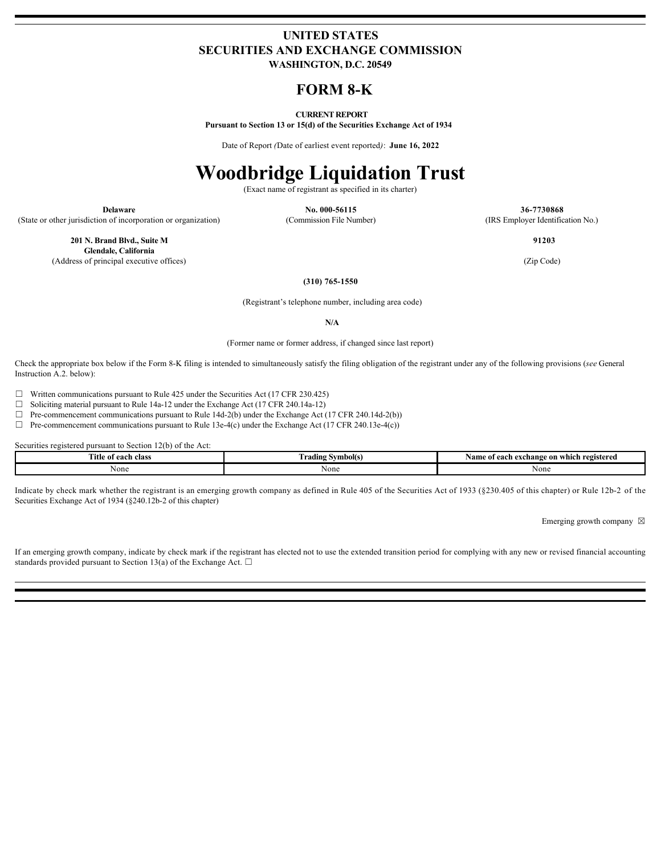## **UNITED STATES SECURITIES AND EXCHANGE COMMISSION WASHINGTON, D.C. 20549**

# **FORM 8-K**

## **CURRENT REPORT**

**Pursuant to Section 13 or 15(d) of the Securities Exchange Act of 1934**

Date of Report *(*Date of earliest event reported*)*: **June 16, 2022**

# **Woodbridge Liquidation Trust**

(Exact name of registrant as specified in its charter)

(State or other jurisdiction of incorporation or organization) (Commission File Number) (IRS Employer Identification No.)

**Delaware No. 000-56115 36-7730868**

**201 N. Brand Blvd., Suite M Glendale, California** (Address of principal executive offices) (Zip Code)

 **91203**

**(310) 765-1550**

(Registrant's telephone number, including area code)

**N/A**

(Former name or former address, if changed since last report)

Check the appropriate box below if the Form 8-K filing is intended to simultaneously satisfy the filing obligation of the registrant under any of the following provisions (*see* General Instruction A.2. below):

 $\Box$  Written communications pursuant to Rule 425 under the Securities Act (17 CFR 230.425)

☐ Soliciting material pursuant to Rule 14a-12 under the Exchange Act (17 CFR 240.14a-12)

 $\Box$  Pre-commencement communications pursuant to Rule 14d-2(b) under the Exchange Act (17 CFR 240.14d-2(b))

 $\Box$  Pre-commencement communications pursuant to Rule 13e-4(c) under the Exchange Act (17 CFR 240.13e-4(c))

Securities registered pursuant to Section 12(b) of the Act:

| <b>CONTRACT</b><br>e of each class<br>l Itle | * Symbol(s.<br>. radıng | h exchange on which registered<br>Nam<br>e of each e. |
|----------------------------------------------|-------------------------|-------------------------------------------------------|
| vone                                         | AVUIT                   | None                                                  |

Indicate by check mark whether the registrant is an emerging growth company as defined in Rule 405 of the Securities Act of 1933 (§230.405 of this chapter) or Rule 12b-2 of the Securities Exchange Act of 1934 (§240.12b-2 of this chapter)

Emerging growth company  $\boxtimes$ 

If an emerging growth company, indicate by check mark if the registrant has elected not to use the extended transition period for complying with any new or revised financial accounting standards provided pursuant to Section 13(a) of the Exchange Act.  $\square$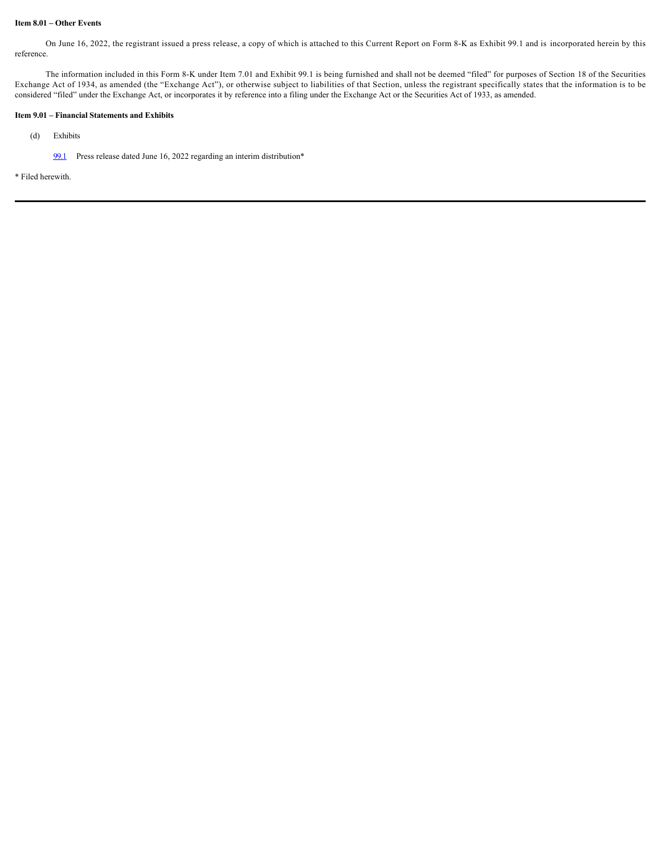## **Item 8.01 – Other Events**

On June 16, 2022, the registrant issued a press release, a copy of which is attached to this Current Report on Form 8-K as Exhibit 99.1 and is incorporated herein by this reference.

The information included in this Form 8-K under Item 7.01 and Exhibit 99.1 is being furnished and shall not be deemed "filed" for purposes of Section 18 of the Securities Exchange Act of 1934, as amended (the "Exchange Act"), or otherwise subject to liabilities of that Section, unless the registrant specifically states that the information is to be considered "filed" under the Exchange Act, or incorporates it by reference into a filing under the Exchange Act or the Securities Act of 1933, as amended.

### **Item 9.01 – Financial Statements and Exhibits**

- (d) Exhibits
	- [99.1](file:///C:/Users/sarikm/AppData/Local/Temp/PROfile%20Green/g3vnfq00.zew/expand/content/brhc10038823_ex99-1.htm) Press release dated June 16, 2022 regarding an interim distribution\*

\* Filed herewith.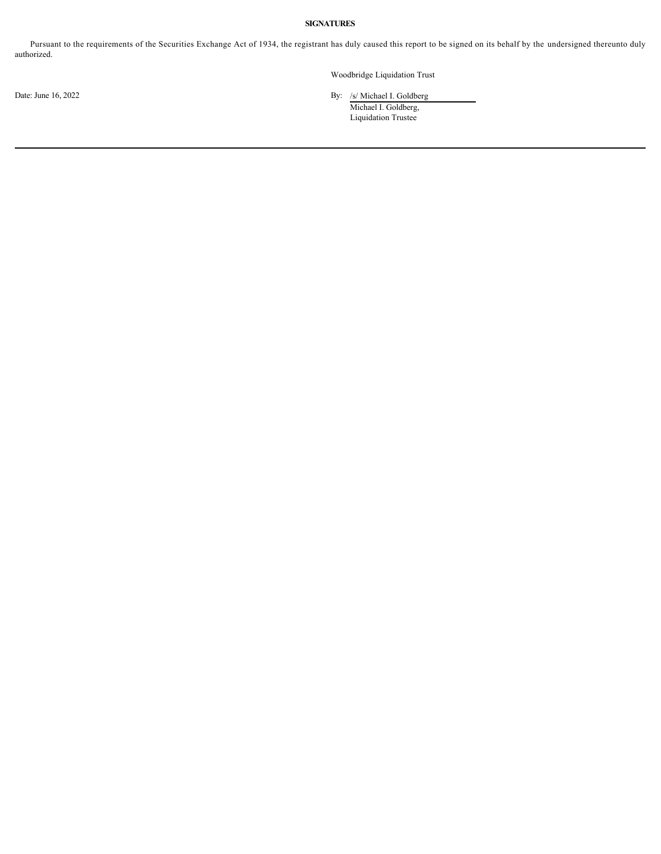## **SIGNATURES**

Pursuant to the requirements of the Securities Exchange Act of 1934, the registrant has duly caused this report to be signed on its behalf by the undersigned thereunto duly authorized.

Woodbridge Liquidation Trust

Date: June 16, 2022 By: /s/ Michael I. Goldberg

Michael I. Goldberg, Liquidation Trustee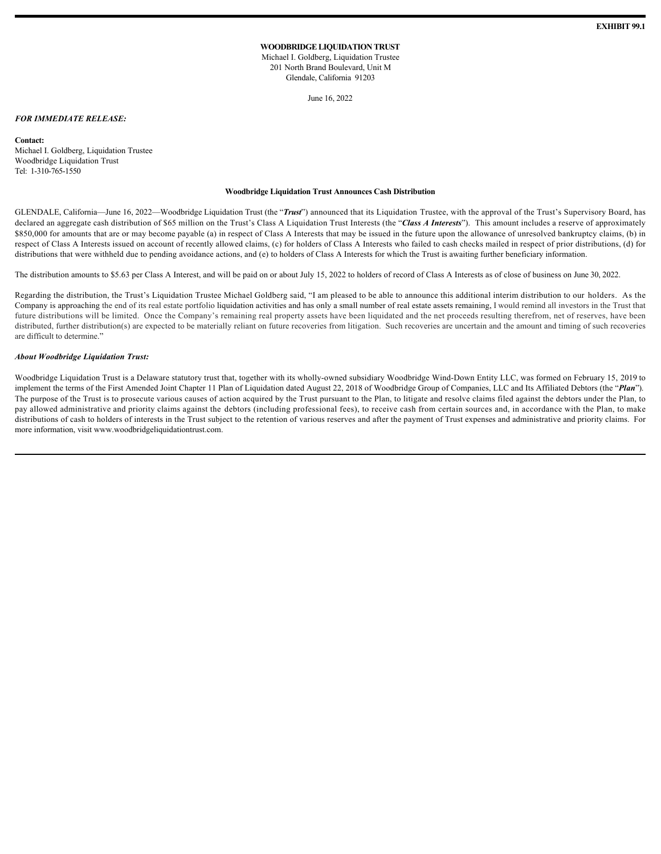## **WOODBRIDGE LIQUIDATION TRUST**

Michael I. Goldberg, Liquidation Trustee 201 North Brand Boulevard, Unit M Glendale, California 91203

June 16, 2022

#### *FOR IMMEDIATE RELEASE:*

**Contact:**

Michael I. Goldberg, Liquidation Trustee Woodbridge Liquidation Trust Tel: 1-310-765-1550

#### **Woodbridge Liquidation Trust Announces Cash Distribution**

GLENDALE, California—June 16, 2022—Woodbridge Liquidation Trust (the "Trust") announced that its Liquidation Trustee, with the approval of the Trust's Supervisory Board, has declared an aggregate cash distribution of \$65 million on the Trust's Class A Liquidation Trust Interests (the "Class A Interests"). This amount includes a reserve of approximately \$850,000 for amounts that are or may become payable (a) in respect of Class A Interests that may be issued in the future upon the allowance of unresolved bankruptcy claims, (b) in respect of Class A Interests issued on account of recently allowed claims, (c) for holders of Class A Interests who failed to cash checks mailed in respect of prior distributions, (d) for distributions that were withheld due to pending avoidance actions, and (e) to holders of Class A Interests for which the Trust is awaiting further beneficiary information.

The distribution amounts to \$5.63 per Class A Interest, and will be paid on or about July 15, 2022 to holders of record of Class A Interests as of close of business on June 30, 2022.

Regarding the distribution, the Trust's Liquidation Trustee Michael Goldberg said, "I am pleased to be able to announce this additional interim distribution to our holders. As the Company is approaching the end of its real estate portfolio liquidation activities and has only a small number of real estate assets remaining, I would remind all investors in the Trust that future distributions will be limited. Once the Company's remaining real property assets have been liquidated and the net proceeds resulting therefrom, net of reserves, have been distributed, further distribution(s) are expected to be materially reliant on future recoveries from litigation. Such recoveries are uncertain and the amount and timing of such recoveries are difficult to determine."

## *About Woodbridge Liquidation Trust:*

Woodbridge Liquidation Trust is a Delaware statutory trust that, together with its wholly-owned subsidiary Woodbridge Wind-Down Entity LLC, was formed on February 15, 2019 to implement the terms of the First Amended Joint Chapter 11 Plan of Liquidation dated August 22, 2018 of Woodbridge Group of Companies, LLC and Its Affiliated Debtors (the "*Plan*"). The purpose of the Trust is to prosecute various causes of action acquired by the Trust pursuant to the Plan, to litigate and resolve claims filed against the debtors under the Plan, to pay allowed administrative and priority claims against the debtors (including professional fees), to receive cash from certain sources and, in accordance with the Plan, to make distributions of cash to holders of interests in the Trust subject to the retention of various reserves and after the payment of Trust expenses and administrative and priority claims. For more information, visit www.woodbridgeliquidationtrust.com.